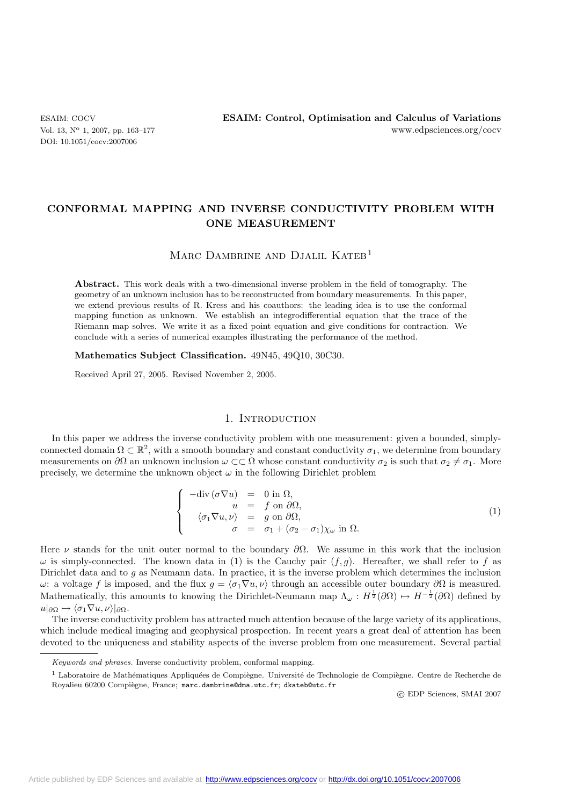DOI: 10.1051/cocv:2007006

# **CONFORMAL MAPPING AND INVERSE CONDUCTIVITY PROBLEM WITH ONE MEASUREMENT**

## MARC DAMBRINE AND DJALIL KATEB<sup>1</sup>

**Abstract.** This work deals with a two-dimensional inverse problem in the field of tomography. The geometry of an unknown inclusion has to be reconstructed from boundary measurements. In this paper, we extend previous results of R. Kress and his coauthors: the leading idea is to use the conformal mapping function as unknown. We establish an integrodifferential equation that the trace of the Riemann map solves. We write it as a fixed point equation and give conditions for contraction. We conclude with a series of numerical examples illustrating the performance of the method.

**Mathematics Subject Classification.** 49N45, 49Q10, 30C30.

Received April 27, 2005. Revised November 2, 2005.

## 1. INTRODUCTION

In this paper we address the inverse conductivity problem with one measurement: given a bounded, simplyconnected domain  $\Omega \subset \mathbb{R}^2$ , with a smooth boundary and constant conductivity  $\sigma_1$ , we determine from boundary measurements on  $\partial\Omega$  an unknown inclusion  $\omega\subset\subset\Omega$  whose constant conductivity  $\sigma_2$  is such that  $\sigma_2\neq\sigma_1$ . More precisely, we determine the unknown object  $\omega$  in the following Dirichlet problem

$$
\begin{cases}\n-\text{div}(\sigma \nabla u) &= 0 \text{ in } \Omega, \\
u &= f \text{ on } \partial \Omega, \\
\langle \sigma_1 \nabla u, \nu \rangle &= g \text{ on } \partial \Omega, \\
\sigma &= \sigma_1 + (\sigma_2 - \sigma_1) \chi_\omega \text{ in } \Omega.\n\end{cases}
$$
\n(1)

Here  $\nu$  stands for the unit outer normal to the boundary  $\partial\Omega$ . We assume in this work that the inclusion  $\omega$  is simply-connected. The known data in (1) is the Cauchy pair  $(f,g)$ . Hereafter, we shall refer to f as Dirichlet data and to g as Neumann data. In practice, it is the inverse problem which determines the inclusion ω: a voltage f is imposed, and the flux  $g = \langle \sigma_1 \nabla u, \nu \rangle$  through an accessible outer boundary ∂Ω is measured. Mathematically, this amounts to knowing the Dirichlet-Neumann map  $\Lambda_\omega : H^{\frac{1}{2}}(\partial\Omega) \mapsto H^{-\frac{1}{2}}(\partial\Omega)$  defined by  $u|_{\partial\Omega} \mapsto \langle \sigma_1 \nabla u, \nu \rangle|_{\partial\Omega}.$ 

The inverse conductivity problem has attracted much attention because of the large variety of its applications, which include medical imaging and geophysical prospection. In recent years a great deal of attention has been devoted to the uniqueness and stability aspects of the inverse problem from one measurement. Several partial

c EDP Sciences, SMAI 2007

Keywords and phrases. Inverse conductivity problem, conformal mapping.

 $1$  Laboratoire de Mathématiques Appliquées de Compiègne. Université de Technologie de Compiègne. Centre de Recherche de Royalieu 60200 Compiègne, France; marc.dambrine@dma.utc.fr; dkateb@utc.fr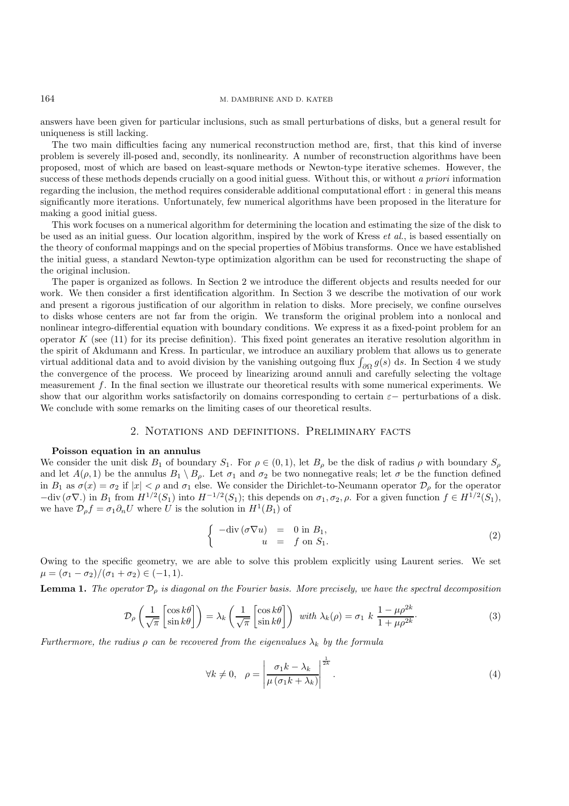#### 164 M. DAMBRINE AND D. KATEB

answers have been given for particular inclusions, such as small perturbations of disks, but a general result for uniqueness is still lacking.

The two main difficulties facing any numerical reconstruction method are, first, that this kind of inverse problem is severely ill-posed and, secondly, its nonlinearity. A number of reconstruction algorithms have been proposed, most of which are based on least-square methods or Newton-type iterative schemes. However, the success of these methods depends crucially on a good initial guess. Without this, or without *a priori* information regarding the inclusion, the method requires considerable additional computational effort : in general this means significantly more iterations. Unfortunately, few numerical algorithms have been proposed in the literature for making a good initial guess.

This work focuses on a numerical algorithm for determining the location and estimating the size of the disk to be used as an initial guess. Our location algorithm, inspired by the work of Kress *et al.*, is based essentially on the theory of conformal mappings and on the special properties of Möbius transforms. Once we have established the initial guess, a standard Newton-type optimization algorithm can be used for reconstructing the shape of the original inclusion.

The paper is organized as follows. In Section 2 we introduce the different objects and results needed for our work. We then consider a first identification algorithm. In Section 3 we describe the motivation of our work and present a rigorous justification of our algorithm in relation to disks. More precisely, we confine ourselves to disks whose centers are not far from the origin. We transform the original problem into a nonlocal and nonlinear integro-differential equation with boundary conditions. We express it as a fixed-point problem for an operator  $K$  (see (11) for its precise definition). This fixed point generates an iterative resolution algorithm in the spirit of Akdumann and Kress. In particular, we introduce an auxiliary problem that allows us to generate virtual additional data and to avoid division by the vanishing outgoing flux  $\int_{\partial\Omega} g(s) ds$ . In Section 4 we study the convergence of the process. We proceed by linearizing around annuli and carefully selecting the voltage measurement f. In the final section we illustrate our theoretical results with some numerical experiments. We show that our algorithm works satisfactorily on domains corresponding to certain  $\varepsilon$ − perturbations of a disk. We conclude with some remarks on the limiting cases of our theoretical results.

## 2. Notations and definitions. Preliminary facts

#### **Poisson equation in an annulus**

We consider the unit disk  $B_1$  of boundary  $S_1$ . For  $\rho \in (0,1)$ , let  $B_\rho$  be the disk of radius  $\rho$  with boundary  $S_\rho$ and let  $A(\rho, 1)$  be the annulus  $B_1 \setminus B_\rho$ . Let  $\sigma_1$  and  $\sigma_2$  be two nonnegative reals; let  $\sigma$  be the function defined in  $B_1$  as  $\sigma(x) = \sigma_2$  if  $|x| < \rho$  and  $\sigma_1$  else. We consider the Dirichlet-to-Neumann operator  $\mathcal{D}_{\rho}$  for the operator  $-\text{div}(\sigma \nabla)$  in  $B_1$  from  $H^{1/2}(S_1)$  into  $H^{-1/2}(S_1)$ ; this depends on  $\sigma_1, \sigma_2, \rho$ . For a given function  $f \in H^{1/2}(S_1)$ , we have  $\mathcal{D}_{\rho}f = \sigma_1 \partial_n U$  where U is the solution in  $H^1(B_1)$  of

$$
\begin{cases}\n-\text{div}(\sigma \nabla u) &= 0 \text{ in } B_1, \\
u &= f \text{ on } S_1.\n\end{cases}
$$
\n(2)

Owing to the specific geometry, we are able to solve this problem explicitly using Laurent series. We set  $\mu = (\sigma_1 - \sigma_2)/(\sigma_1 + \sigma_2) \in (-1, 1).$ 

**Lemma 1.** *The operator*  $\mathcal{D}_{\rho}$  *is diagonal on the Fourier basis. More precisely, we have the spectral decomposition* 

$$
\mathcal{D}_{\rho}\left(\frac{1}{\sqrt{\pi}}\begin{bmatrix}\cos k\theta\\ \sin k\theta\end{bmatrix}\right) = \lambda_{k}\left(\frac{1}{\sqrt{\pi}}\begin{bmatrix}\cos k\theta\\ \sin k\theta\end{bmatrix}\right) \text{ with } \lambda_{k}(\rho) = \sigma_{1} k \frac{1-\mu\rho^{2k}}{1+\mu\rho^{2k}}.
$$
\n(3)

*Furthermore, the radius*  $\rho$  *can be recovered from the eigenvalues*  $\lambda_k$  *by the formula* 

$$
\forall k \neq 0, \quad \rho = \left| \frac{\sigma_1 k - \lambda_k}{\mu \left( \sigma_1 k + \lambda_k \right)} \right|^{\frac{1}{2k}}.
$$
\n
$$
(4)
$$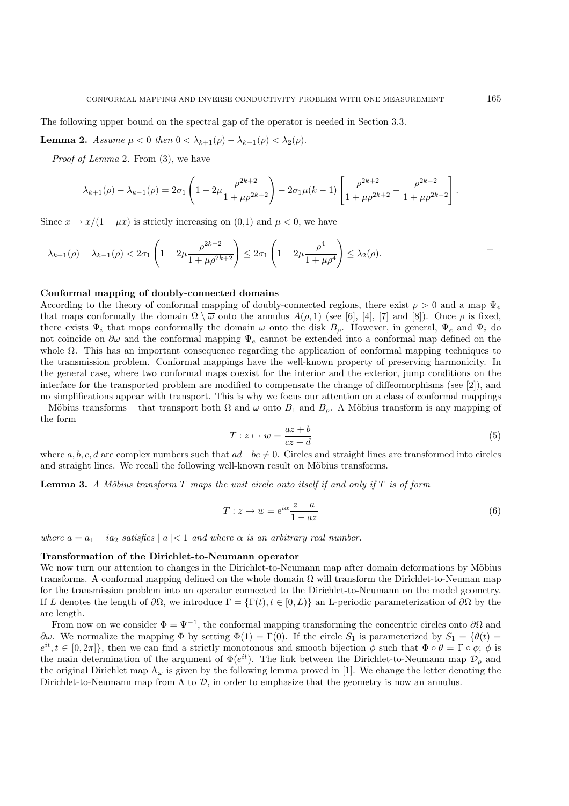The following upper bound on the spectral gap of the operator is needed in Section 3.3.

**Lemma 2.** *Assume*  $\mu < 0$  *then*  $0 < \lambda_{k+1}(\rho) - \lambda_{k-1}(\rho) < \lambda_2(\rho)$ .

*Proof of Lemma* 2*.* From (3), we have

$$
\lambda_{k+1}(\rho) - \lambda_{k-1}(\rho) = 2\sigma_1 \left( 1 - 2\mu \frac{\rho^{2k+2}}{1 + \mu \rho^{2k+2}} \right) - 2\sigma_1 \mu (k-1) \left[ \frac{\rho^{2k+2}}{1 + \mu \rho^{2k+2}} - \frac{\rho^{2k-2}}{1 + \mu \rho^{2k-2}} \right]
$$

Since  $x \mapsto x/(1 + \mu x)$  is strictly increasing on  $(0,1)$  and  $\mu < 0$ , we have

$$
\lambda_{k+1}(\rho)-\lambda_{k-1}(\rho) < 2\sigma_1\left(1-2\mu\frac{\rho^{2k+2}}{1+\mu\rho^{2k+2}}\right) \leq 2\sigma_1\left(1-2\mu\frac{\rho^4}{1+\mu\rho^4}\right) \leq \lambda_2(\rho).
$$

## **Conformal mapping of doubly-connected domains**

According to the theory of conformal mapping of doubly-connected regions, there exist  $\rho > 0$  and a map  $\Psi_e$ that maps conformally the domain  $\Omega \setminus \overline{\omega}$  onto the annulus  $A(\rho, 1)$  (see [6], [4], [7] and [8]). Once  $\rho$  is fixed, there exists  $\Psi_i$  that maps conformally the domain  $\omega$  onto the disk  $B_\rho$ . However, in general,  $\Psi_e$  and  $\Psi_i$  do not coincide on  $\partial\omega$  and the conformal mapping  $\Psi_e$  cannot be extended into a conformal map defined on the whole  $Ω$ . This has an important consequence regarding the application of conformal mapping techniques to the transmission problem. Conformal mappings have the well-known property of preserving harmonicity. In the general case, where two conformal maps coexist for the interior and the exterior, jump conditions on the interface for the transported problem are modified to compensate the change of diffeomorphisms (see [2]), and no simplifications appear with transport. This is why we focus our attention on a class of conformal mappings – Möbius transforms – that transport both  $\Omega$  and  $\omega$  onto  $B_1$  and  $B_\rho$ . A Möbius transform is any mapping of the form

$$
T: z \mapsto w = \frac{az+b}{cz+d} \tag{5}
$$

where  $a, b, c, d$  are complex numbers such that  $ad - bc \neq 0$ . Circles and straight lines are transformed into circles and straight lines. We recall the following well-known result on Möbius transforms.

**Lemma 3.** *A Möbius transform*  $T$  *maps the unit circle onto itself if and only if*  $T$  *is of form* 

$$
T: z \mapsto w = e^{i\alpha} \frac{z - a}{1 - \overline{a}z} \tag{6}
$$

*where*  $a = a_1 + ia_2$  *satisfies*  $|a| < 1$  *and where*  $\alpha$  *is an arbitrary real number.* 

#### **Transformation of the Dirichlet-to-Neumann operator**

We now turn our attention to changes in the Dirichlet-to-Neumann map after domain deformations by Möbius transforms. A conformal mapping defined on the whole domain  $\Omega$  will transform the Dirichlet-to-Neuman map for the transmission problem into an operator connected to the Dirichlet-to-Neumann on the model geometry. If L denotes the length of  $\partial\Omega$ , we introduce  $\Gamma = {\Gamma(t), t \in [0, L]}$  an L-periodic parameterization of  $\partial\Omega$  by the arc length.

From now on we consider  $\Phi = \Psi^{-1}$ , the conformal mapping transforming the concentric circles onto  $\partial\Omega$  and  $\partial\omega$ . We normalize the mapping  $\Phi$  by setting  $\Phi(1) = \Gamma(0)$ . If the circle  $S_1$  is parameterized by  $S_1 = {\theta(t)}$  $e^{it}$ ,  $t \in [0, 2\pi]$ , then we can find a strictly monotonous and smooth bijection  $\phi$  such that  $\Phi \circ \theta = \Gamma \circ \phi$ ;  $\phi$  is the main determination of the argument of  $\Phi(e^{it})$ . The link between the Dirichlet-to-Neumann map  $\mathcal{D}_{\rho}$  and the original Dirichlet map  $\Lambda_{\omega}$  is given by the following lemma proved in [1]. We change the letter denoting the Dirichlet-to-Neumann map from  $\Lambda$  to  $\mathcal{D}$ , in order to emphasize that the geometry is now an annulus.

.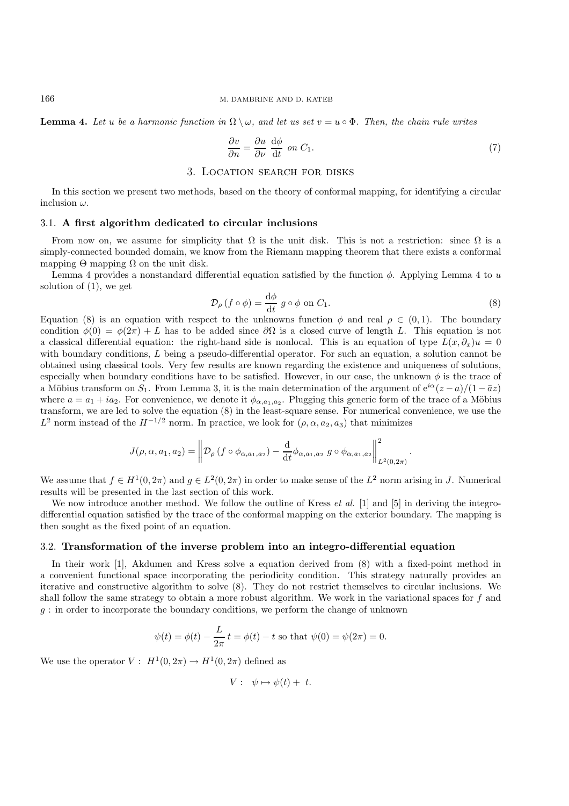**Lemma 4.** Let u be a harmonic function in  $\Omega \setminus \omega$ , and let us set  $v = u \circ \Phi$ . Then, the chain rule writes

$$
\frac{\partial v}{\partial n} = \frac{\partial u}{\partial \nu} \frac{d\phi}{dt} \text{ on } C_1.
$$
 (7)

## 3. Location search for disks

In this section we present two methods, based on the theory of conformal mapping, for identifying a circular inclusion  $\omega$ .

#### 3.1. **A first algorithm dedicated to circular inclusions**

From now on, we assume for simplicity that  $\Omega$  is the unit disk. This is not a restriction: since  $\Omega$  is a simply-connected bounded domain, we know from the Riemann mapping theorem that there exists a conformal mapping  $\Theta$  mapping  $\Omega$  on the unit disk.

Lemma 4 provides a nonstandard differential equation satisfied by the function  $\phi$ . Applying Lemma 4 to u solution of (1), we get

$$
\mathcal{D}_{\rho} \left( f \circ \phi \right) = \frac{\mathrm{d}\phi}{\mathrm{d}t} \ g \circ \phi \text{ on } C_1. \tag{8}
$$

Equation (8) is an equation with respect to the unknowns function  $\phi$  and real  $\rho \in (0,1)$ . The boundary condition  $\phi(0) = \phi(2\pi) + L$  has to be added since  $\partial\Omega$  is a closed curve of length L. This equation is not a classical differential equation: the right-hand side is nonlocal. This is an equation of type  $L(x, \partial_x)u = 0$ with boundary conditions, L being a pseudo-differential operator. For such an equation, a solution cannot be obtained using classical tools. Very few results are known regarding the existence and uniqueness of solutions, especially when boundary conditions have to be satisfied. However, in our case, the unknown  $\phi$  is the trace of a Möbius transform on  $S_1$ . From Lemma 3, it is the main determination of the argument of  $e^{i\alpha}(z-a)/(1-\bar{a}z)$ where  $a = a_1 + ia_2$ . For convenience, we denote it  $\phi_{\alpha,a_1,a_2}$ . Plugging this generic form of the trace of a Möbius transform, we are led to solve the equation (8) in the least-square sense. For numerical convenience, we use the  $L^2$  norm instead of the  $H^{-1/2}$  norm. In practice, we look for  $(\rho, \alpha, a_2, a_3)$  that minimizes

$$
J(\rho,\alpha,a_1,a_2) = \left\| \mathcal{D}_{\rho} \left( f \circ \phi_{\alpha,a_1,a_2} \right) - \frac{\mathrm{d}}{\mathrm{d}t} \phi_{\alpha,a_1,a_2} \left. g \circ \phi_{\alpha,a_1,a_2} \right\|_{L^2(0,2\pi)}^2.
$$

We assume that  $f \in H^1(0, 2\pi)$  and  $q \in L^2(0, 2\pi)$  in order to make sense of the  $L^2$  norm arising in J. Numerical results will be presented in the last section of this work.

We now introduce another method. We follow the outline of Kress *et al*. [1] and [5] in deriving the integrodifferential equation satisfied by the trace of the conformal mapping on the exterior boundary. The mapping is then sought as the fixed point of an equation.

#### 3.2. **Transformation of the inverse problem into an integro-differential equation**

In their work [1], Akdumen and Kress solve a equation derived from (8) with a fixed-point method in a convenient functional space incorporating the periodicity condition. This strategy naturally provides an iterative and constructive algorithm to solve (8). They do not restrict themselves to circular inclusions. We shall follow the same strategy to obtain a more robust algorithm. We work in the variational spaces for f and g : in order to incorporate the boundary conditions, we perform the change of unknown

$$
\psi(t) = \phi(t) - \frac{L}{2\pi} t = \phi(t) - t
$$
 so that  $\psi(0) = \psi(2\pi) = 0$ .

We use the operator  $V: H^1(0, 2\pi) \to H^1(0, 2\pi)$  defined as

$$
V: \ \psi \mapsto \psi(t) + t.
$$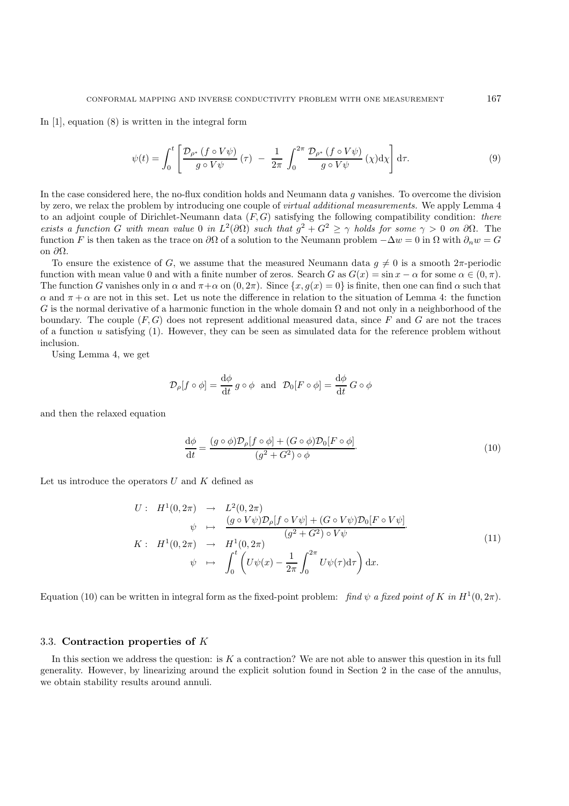In [1], equation (8) is written in the integral form

$$
\psi(t) = \int_0^t \left[ \frac{\mathcal{D}_{\rho^*} \left( f \circ V \psi \right)}{g \circ V \psi} \left( \tau \right) \ - \ \frac{1}{2\pi} \int_0^{2\pi} \frac{\mathcal{D}_{\rho^*} \left( f \circ V \psi \right)}{g \circ V \psi} \left( \chi \right) \mathrm{d}\chi \right] \mathrm{d}\tau. \tag{9}
$$

In the case considered here, the no-flux condition holds and Neumann data g vanishes. To overcome the division by zero, we relax the problem by introducing one couple of *virtual additional measurements.* We apply Lemma 4 to an adjoint couple of Dirichlet-Neumann data (F, G) satisfying the following compatibility condition: *there exists a function* G *with mean value* 0 *in*  $L^2(\partial\Omega)$  *such that*  $g^2 + G^2 \ge \gamma$  *holds for some*  $\gamma > 0$  *on*  $\partial\Omega$ . The function F is then taken as the trace on  $\partial\Omega$  of a solution to the Neumann problem  $-\Delta w = 0$  in  $\Omega$  with  $\partial_n w = G$ on ∂Ω.

To ensure the existence of G, we assume that the measured Neumann data  $g \neq 0$  is a smooth  $2\pi$ -periodic function with mean value 0 and with a finite number of zeros. Search G as  $G(x) = \sin x - \alpha$  for some  $\alpha \in (0, \pi)$ . The function G vanishes only in  $\alpha$  and  $\pi + \alpha$  on  $(0, 2\pi)$ . Since  $\{x, g(x) = 0\}$  is finite, then one can find  $\alpha$  such that  $\alpha$  and  $\pi + \alpha$  are not in this set. Let us note the difference in relation to the situation of Lemma 4: the function G is the normal derivative of a harmonic function in the whole domain  $\Omega$  and not only in a neighborhood of the boundary. The couple  $(F, G)$  does not represent additional measured data, since F and G are not the traces of a function u satisfying  $(1)$ . However, they can be seen as simulated data for the reference problem without inclusion.

Using Lemma 4, we get

$$
\mathcal{D}_{\rho}[f \circ \phi] = \frac{\mathrm{d}\phi}{\mathrm{d}t} g \circ \phi \text{ and } \mathcal{D}_{0}[F \circ \phi] = \frac{\mathrm{d}\phi}{\mathrm{d}t} G \circ \phi
$$

and then the relaxed equation

$$
\frac{\mathrm{d}\phi}{\mathrm{d}t} = \frac{(g \circ \phi)\mathcal{D}_{\rho}[f \circ \phi] + (G \circ \phi)\mathcal{D}_{0}[F \circ \phi]}{(g^{2} + G^{2}) \circ \phi}.\tag{10}
$$

Let us introduce the operators  $U$  and  $K$  defined as

$$
U: H1(0, 2\pi) \rightarrow L2(0, 2\pi)
$$
  
\n
$$
\psi \mapsto \frac{(g \circ V\psi)\mathcal{D}_{\rho}[f \circ V\psi] + (G \circ V\psi)\mathcal{D}_{0}[F \circ V\psi]}{(g^{2} + G^{2}) \circ V\psi}
$$
  
\n
$$
K: H1(0, 2\pi) \rightarrow H1(0, 2\pi)
$$
  
\n
$$
\psi \mapsto \int_{0}^{t} \left(U\psi(x) - \frac{1}{2\pi} \int_{0}^{2\pi} U\psi(\tau) d\tau\right) dx.
$$
\n(11)

Equation (10) can be written in integral form as the fixed-point problem: *find*  $\psi$  *a fixed point of* K *in* H<sup>1</sup>(0, 2π).

#### 3.3. **Contraction properties of** K

In this section we address the question: is  $K$  a contraction? We are not able to answer this question in its full generality. However, by linearizing around the explicit solution found in Section 2 in the case of the annulus, we obtain stability results around annuli.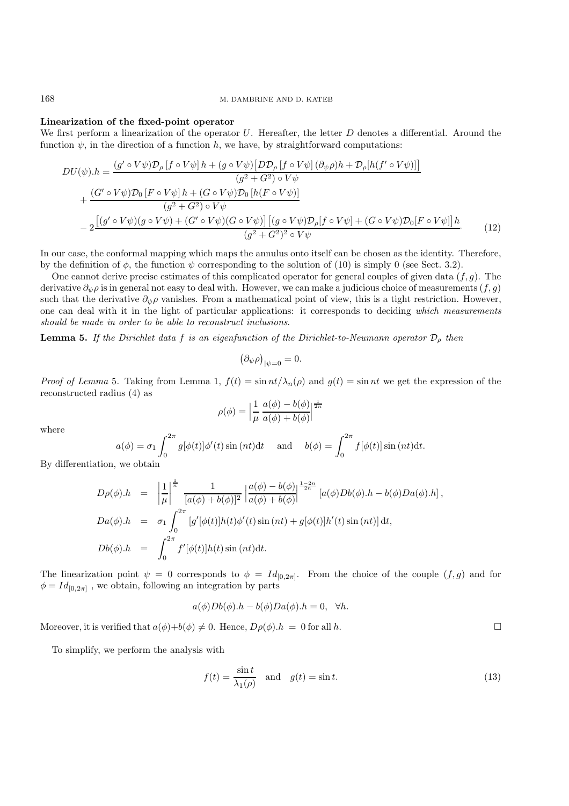168 M. DAMBRINE AND D. KATEB

#### **Linearization of the fixed-point operator**

We first perform a linearization of the operator  $U$ . Hereafter, the letter  $D$  denotes a differential. Around the function  $\psi$ , in the direction of a function h, we have, by straightforward computations:

$$
DU(\psi).h = \frac{(g' \circ V\psi)\mathcal{D}_{\rho}[f \circ V\psi]h + (g \circ V\psi)[D\mathcal{D}_{\rho}[f \circ V\psi](\partial_{\psi}\rho)h + \mathcal{D}_{\rho}[h(f' \circ V\psi)]]}{(g^2 + G^2) \circ V\psi} + \frac{(G' \circ V\psi)\mathcal{D}_{0}[F \circ V\psi]h + (G \circ V\psi)\mathcal{D}_{0}[h(F \circ V\psi)]}{(g^2 + G^2) \circ V\psi} - 2\frac{[(g' \circ V\psi)(g \circ V\psi) + (G' \circ V\psi)(G \circ V\psi)][(g \circ V\psi)\mathcal{D}_{\rho}[f \circ V\psi] + (G \circ V\psi)\mathcal{D}_{0}[F \circ V\psi]]h}{(g^2 + G^2)^2 \circ V\psi}
$$
(12)

In our case, the conformal mapping which maps the annulus onto itself can be chosen as the identity. Therefore, by the definition of  $\phi$ , the function  $\psi$  corresponding to the solution of (10) is simply 0 (see Sect. 3.2).

One cannot derive precise estimates of this complicated operator for general couples of given data  $(f, g)$ . The derivative  $\partial_{\psi}\rho$  is in general not easy to deal with. However, we can make a judicious choice of measurements  $(f,g)$ such that the derivative  $\partial_{\psi}\rho$  vanishes. From a mathematical point of view, this is a tight restriction. However, one can deal with it in the light of particular applications: it corresponds to deciding *which measurements should be made in order to be able to reconstruct inclusions*.

**Lemma 5.** *If the Dirichlet data* f *is an eigenfunction of the Dirichlet-to-Neumann operator* D<sup>ρ</sup> *then*

$$
(\partial_{\psi}\rho)_{|\psi=0}=0.
$$

*Proof of Lemma* 5. Taking from Lemma 1,  $f(t) = \sin nt / \lambda_n(\rho)$  and  $g(t) = \sin nt$  we get the expression of the reconstructed radius (4) as

$$
\rho(\phi) = \left| \frac{1}{\mu} \frac{a(\phi) - b(\phi)}{a(\phi) + b(\phi)} \right|^{\frac{1}{2n}}
$$

where

$$
a(\phi) = \sigma_1 \int_0^{2\pi} g[\phi(t)] \phi'(t) \sin(nt) dt \quad \text{and} \quad b(\phi) = \int_0^{2\pi} f[\phi(t)] \sin(nt) dt.
$$

By differentiation, we obtain

$$
D\rho(\phi).h = \left| \frac{1}{\mu} \right|^{\frac{1}{n}} \frac{1}{[a(\phi) + b(\phi)]^2} \left| \frac{a(\phi) - b(\phi)}{a(\phi) + b(\phi)} \right|^{\frac{1-2n}{2n}} [a(\phi)Db(\phi).h - b(\phi)Da(\phi).h],
$$
  
\n
$$
Da(\phi).h = \sigma_1 \int_0^{2\pi} [g'[\phi(t)]h(t)\phi'(t)\sin(nt) + g[\phi(t)]h'(t)\sin(nt)] dt,
$$
  
\n
$$
Db(\phi).h = \int_0^{2\pi} f'[\phi(t)]h(t)\sin(nt)dt.
$$

The linearization point  $\psi = 0$  corresponds to  $\phi = Id_{[0,2\pi]}$ . From the choice of the couple  $(f,g)$  and for  $\phi = Id_{[0,2\pi]}$ , we obtain, following an integration by parts

$$
a(\phi)Db(\phi).h - b(\phi)Da(\phi).h = 0, \forall h.
$$

Moreover, it is verified that  $a(\phi)+b(\phi) \neq 0$ . Hence,  $D\rho(\phi) \cdot h = 0$  for all h.

To simplify, we perform the analysis with

$$
f(t) = \frac{\sin t}{\lambda_1(\rho)} \quad \text{and} \quad g(t) = \sin t. \tag{13}
$$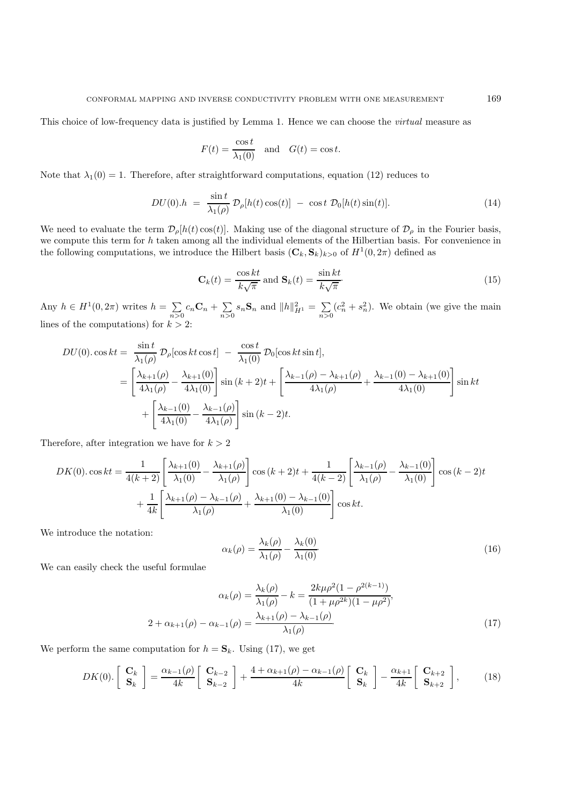This choice of low-frequency data is justified by Lemma 1. Hence we can choose the *virtual* measure as

$$
F(t) = \frac{\cos t}{\lambda_1(0)} \quad \text{and} \quad G(t) = \cos t.
$$

Note that  $\lambda_1(0) = 1$ . Therefore, after straightforward computations, equation (12) reduces to

$$
DU(0).h = \frac{\sin t}{\lambda_1(\rho)} \mathcal{D}_\rho[h(t)\cos(t)] - \cos t \mathcal{D}_0[h(t)\sin(t)]. \tag{14}
$$

We need to evaluate the term  $\mathcal{D}_{\rho}[h(t)\cos(t)]$ . Making use of the diagonal structure of  $\mathcal{D}_{\rho}$  in the Fourier basis, we compute this term for h taken among all the individual elements of the Hilbertian basis. For convenience in the following computations, we introduce the Hilbert basis  $(C_k, S_k)_{k>0}$  of  $H^1(0, 2\pi)$  defined as

$$
\mathbf{C}_k(t) = \frac{\cos kt}{k\sqrt{\pi}} \text{ and } \mathbf{S}_k(t) = \frac{\sin kt}{k\sqrt{\pi}}.
$$
 (15)

Any  $h \in H^1(0, 2\pi)$  writes  $h = \sum$  $\sum_{n>0} c_n \mathbf{C}_n + \sum_{n>0} s_n \mathbf{S}_n$  and  $||h||_{H^1}^2 = \sum_{n>0}$  $(c_n^2 + s_n^2)$ . We obtain (we give the main lines of the computations) for  $k > 2$ :

$$
DU(0) \cos kt = \frac{\sin t}{\lambda_1(\rho)} \mathcal{D}_{\rho}[\cos kt \cos t] - \frac{\cos t}{\lambda_1(0)} \mathcal{D}_{0}[\cos kt \sin t],
$$
  
=  $\left[ \frac{\lambda_{k+1}(\rho)}{4\lambda_1(\rho)} - \frac{\lambda_{k+1}(0)}{4\lambda_1(0)} \right] \sin (k+2)t + \left[ \frac{\lambda_{k-1}(\rho) - \lambda_{k+1}(\rho)}{4\lambda_1(\rho)} + \frac{\lambda_{k-1}(0) - \lambda_{k+1}(0)}{4\lambda_1(0)} \right] \sin kt + \left[ \frac{\lambda_{k-1}(0)}{4\lambda_1(0)} - \frac{\lambda_{k-1}(\rho)}{4\lambda_1(\rho)} \right] \sin (k-2)t.$ 

Therefore, after integration we have for  $k > 2$ 

$$
DK(0) \cos kt = \frac{1}{4(k+2)} \left[ \frac{\lambda_{k+1}(0)}{\lambda_1(0)} - \frac{\lambda_{k+1}(\rho)}{\lambda_1(\rho)} \right] \cos (k+2)t + \frac{1}{4(k-2)} \left[ \frac{\lambda_{k-1}(\rho)}{\lambda_1(\rho)} - \frac{\lambda_{k-1}(0)}{\lambda_1(0)} \right] \cos (k-2)t + \frac{1}{4k} \left[ \frac{\lambda_{k+1}(\rho) - \lambda_{k-1}(\rho)}{\lambda_1(\rho)} + \frac{\lambda_{k+1}(0) - \lambda_{k-1}(0)}{\lambda_1(0)} \right] \cos kt.
$$

We introduce the notation:

$$
\alpha_k(\rho) = \frac{\lambda_k(\rho)}{\lambda_1(\rho)} - \frac{\lambda_k(0)}{\lambda_1(0)}.\tag{16}
$$

We can easily check the useful formulae

$$
\alpha_k(\rho) = \frac{\lambda_k(\rho)}{\lambda_1(\rho)} - k = \frac{2k\mu\rho^2(1 - \rho^{2(k-1)})}{(1 + \mu\rho^{2k})(1 - \mu\rho^2)},
$$
  

$$
2 + \alpha_{k+1}(\rho) - \alpha_{k-1}(\rho) = \frac{\lambda_{k+1}(\rho) - \lambda_{k-1}(\rho)}{\lambda_1(\rho)}.
$$
 (17)

We perform the same computation for  $h = S_k$ . Using (17), we get

$$
DK(0). \begin{bmatrix} \mathbf{C}_k \\ \mathbf{S}_k \end{bmatrix} = \frac{\alpha_{k-1}(\rho)}{4k} \begin{bmatrix} \mathbf{C}_{k-2} \\ \mathbf{S}_{k-2} \end{bmatrix} + \frac{4 + \alpha_{k+1}(\rho) - \alpha_{k-1}(\rho)}{4k} \begin{bmatrix} \mathbf{C}_k \\ \mathbf{S}_k \end{bmatrix} - \frac{\alpha_{k+1}}{4k} \begin{bmatrix} \mathbf{C}_{k+2} \\ \mathbf{S}_{k+2} \end{bmatrix},
$$
 (18)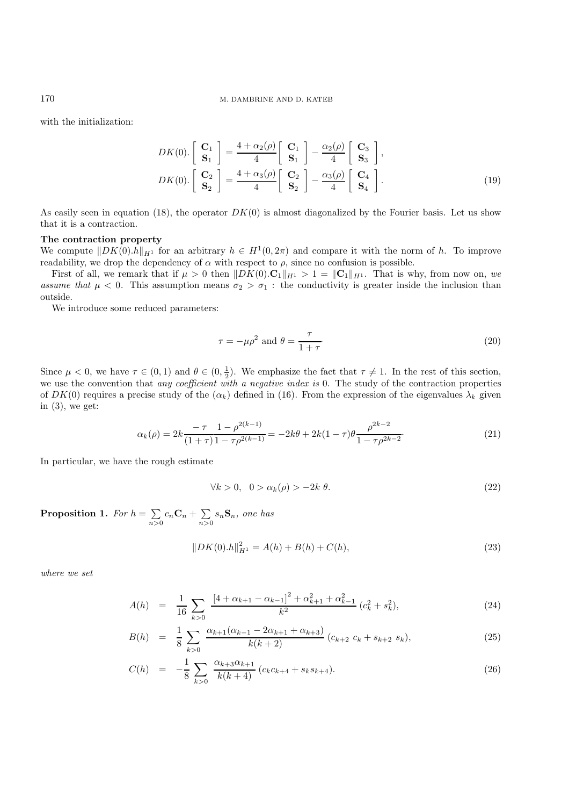with the initialization:

$$
DK(0). \begin{bmatrix} \mathbf{C}_1 \\ \mathbf{S}_1 \end{bmatrix} = \frac{4 + \alpha_2(\rho)}{4} \begin{bmatrix} \mathbf{C}_1 \\ \mathbf{S}_1 \end{bmatrix} - \frac{\alpha_2(\rho)}{4} \begin{bmatrix} \mathbf{C}_3 \\ \mathbf{S}_3 \end{bmatrix},
$$
  
\n
$$
DK(0). \begin{bmatrix} \mathbf{C}_2 \\ \mathbf{S}_2 \end{bmatrix} = \frac{4 + \alpha_3(\rho)}{4} \begin{bmatrix} \mathbf{C}_2 \\ \mathbf{S}_2 \end{bmatrix} - \frac{\alpha_3(\rho)}{4} \begin{bmatrix} \mathbf{C}_4 \\ \mathbf{S}_4 \end{bmatrix}.
$$
 (19)

As easily seen in equation (18), the operator  $DK(0)$  is almost diagonalized by the Fourier basis. Let us show that it is a contraction.

### **The contraction property**

We compute  $\|DK(0)h\|_{H^1}$  for an arbitrary  $h \in H^1(0, 2\pi)$  and compare it with the norm of h. To improve readability, we drop the dependency of  $\alpha$  with respect to  $\rho$ , since no confusion is possible.

First of all, we remark that if  $\mu > 0$  then  $\|DK(0) \cdot \mathbf{C}_1\|_{H^1} > 1 = \|\mathbf{C}_1\|_{H^1}$ . That is why, from now on, we *assume that*  $\mu < 0$ . This assumption means  $\sigma_2 > \sigma_1$ : the conductivity is greater inside the inclusion than outside.

We introduce some reduced parameters:

$$
\tau = -\mu \rho^2 \text{ and } \theta = \frac{\tau}{1+\tau}.
$$
\n(20)

Since  $\mu < 0$ , we have  $\tau \in (0, 1)$  and  $\theta \in (0, \frac{1}{2})$ . We emphasize the fact that  $\tau \neq 1$ . In the rest of this section, we use the convention that *any coefficient with a negative index is* 0. The study of the contraction properties of  $DK(0)$  requires a precise study of the  $(\alpha_k)$  defined in (16). From the expression of the eigenvalues  $\lambda_k$  given in  $(3)$ , we get:

$$
\alpha_k(\rho) = 2k \frac{-\tau}{(1+\tau)} \frac{1-\rho^{2(k-1)}}{1-\tau \rho^{2(k-1)}} = -2k\theta + 2k(1-\tau)\theta \frac{\rho^{2k-2}}{1-\tau \rho^{2k-2}}.
$$
\n(21)

In particular, we have the rough estimate

$$
\forall k > 0, \quad 0 > \alpha_k(\rho) > -2k \theta. \tag{22}
$$

**Proposition 1.** For  $h = \sum$  $\sum_{n>0} c_n \mathbf{C}_n + \sum_{n>0} s_n \mathbf{S}_n$ , one has

$$
||DK(0).h||H12 = A(h) + B(h) + C(h),
$$
\n(23)

*where we set*

$$
A(h) = \frac{1}{16} \sum_{k>0} \frac{\left[4 + \alpha_{k+1} - \alpha_{k-1}\right]^2 + \alpha_{k+1}^2 + \alpha_{k-1}^2}{k^2} (c_k^2 + s_k^2), \tag{24}
$$

$$
B(h) = \frac{1}{8} \sum_{k>0} \frac{\alpha_{k+1}(\alpha_{k-1} - 2\alpha_{k+1} + \alpha_{k+3})}{k(k+2)} (c_{k+2} c_k + s_{k+2} s_k), \tag{25}
$$

$$
C(h) = -\frac{1}{8} \sum_{k>0} \frac{\alpha_{k+3}\alpha_{k+1}}{k(k+4)} (c_k c_{k+4} + s_k s_{k+4}).
$$
\n(26)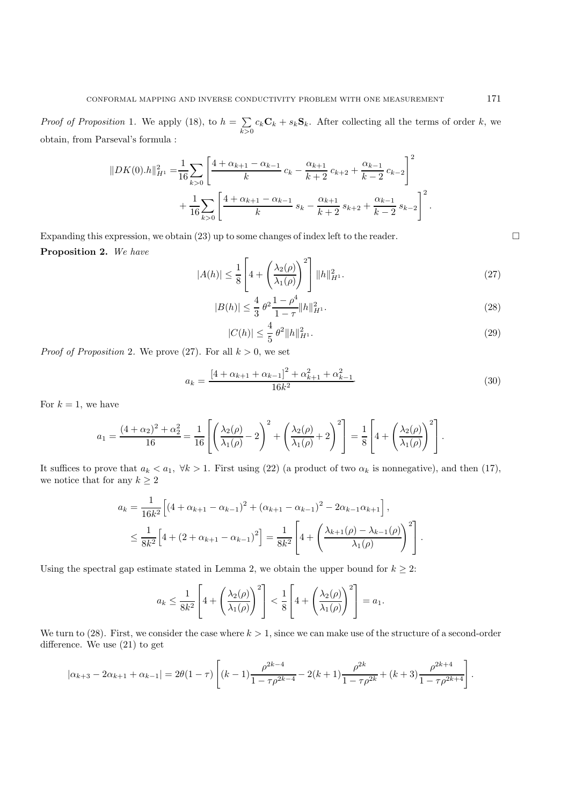*Proof of Proposition* 1. We apply (18), to  $h = \sum$  $\sum_{k>0} c_k \mathbf{C}_k + s_k \mathbf{S}_k$ . After collecting all the terms of order k, we obtain, from Parseval's formula :

$$
||DK(0).h||_{H^1}^2 = \frac{1}{16} \sum_{k>0} \left[ \frac{4 + \alpha_{k+1} - \alpha_{k-1}}{k} c_k - \frac{\alpha_{k+1}}{k+2} c_{k+2} + \frac{\alpha_{k-1}}{k-2} c_{k-2} \right]^2
$$
  
+ 
$$
\frac{1}{16} \sum_{k>0} \left[ \frac{4 + \alpha_{k+1} - \alpha_{k-1}}{k} s_k - \frac{\alpha_{k+1}}{k+2} s_{k+2} + \frac{\alpha_{k-1}}{k-2} s_{k-2} \right]^2.
$$

Expanding this expression, we obtain (23) up to some changes of index left to the reader.  $\Box$ **Proposition 2.** *We have*

$$
|A(h)| \le \frac{1}{8} \left[ 4 + \left( \frac{\lambda_2(\rho)}{\lambda_1(\rho)} \right)^2 \right] ||h||_{H^1}^2.
$$
 (27)

$$
|B(h)| \le \frac{4}{3} \theta^2 \frac{1 - \rho^4}{1 - \tau} \|h\|_{H^1}^2. \tag{28}
$$

$$
|C(h)| \le \frac{4}{5} \theta^2 \|h\|_{H^1}^2. \tag{29}
$$

*Proof of Proposition* 2. We prove (27). For all  $k > 0$ , we set

$$
a_k = \frac{\left[4 + \alpha_{k+1} + \alpha_{k-1}\right]^2 + \alpha_{k+1}^2 + \alpha_{k-1}^2}{16k^2}.
$$
\n
$$
(30)
$$

For  $k = 1$ , we have

$$
a_1 = \frac{(4+\alpha_2)^2 + \alpha_2^2}{16} = \frac{1}{16} \left[ \left( \frac{\lambda_2(\rho)}{\lambda_1(\rho)} - 2 \right)^2 + \left( \frac{\lambda_2(\rho)}{\lambda_1(\rho)} + 2 \right)^2 \right] = \frac{1}{8} \left[ 4 + \left( \frac{\lambda_2(\rho)}{\lambda_1(\rho)} \right)^2 \right].
$$

It suffices to prove that  $a_k < a_1$ ,  $\forall k > 1$ . First using (22) (a product of two  $\alpha_k$  is nonnegative), and then (17), we notice that for any  $k\geq 2$ 

$$
a_k = \frac{1}{16k^2} \left[ \left( 4 + \alpha_{k+1} - \alpha_{k-1} \right)^2 + \left( \alpha_{k+1} - \alpha_{k-1} \right)^2 - 2\alpha_{k-1}\alpha_{k+1} \right],
$$
  

$$
\leq \frac{1}{8k^2} \left[ 4 + \left( 2 + \alpha_{k+1} - \alpha_{k-1} \right)^2 \right] = \frac{1}{8k^2} \left[ 4 + \left( \frac{\lambda_{k+1}(\rho) - \lambda_{k-1}(\rho)}{\lambda_1(\rho)} \right)^2 \right].
$$

Using the spectral gap estimate stated in Lemma 2, we obtain the upper bound for  $k \geq 2$ :

$$
a_k \leq \frac{1}{8k^2} \left[ 4 + \left( \frac{\lambda_2(\rho)}{\lambda_1(\rho)} \right)^2 \right] < \frac{1}{8} \left[ 4 + \left( \frac{\lambda_2(\rho)}{\lambda_1(\rho)} \right)^2 \right] = a_1.
$$

We turn to (28). First, we consider the case where  $k > 1$ , since we can make use of the structure of a second-order difference. We use (21) to get

$$
|\alpha_{k+3} - 2\alpha_{k+1} + \alpha_{k-1}| = 2\theta(1-\tau)\left[ (k-1)\frac{\rho^{2k-4}}{1-\tau\rho^{2k-4}} - 2(k+1)\frac{\rho^{2k}}{1-\tau\rho^{2k}} + (k+3)\frac{\rho^{2k+4}}{1-\tau\rho^{2k+4}} \right].
$$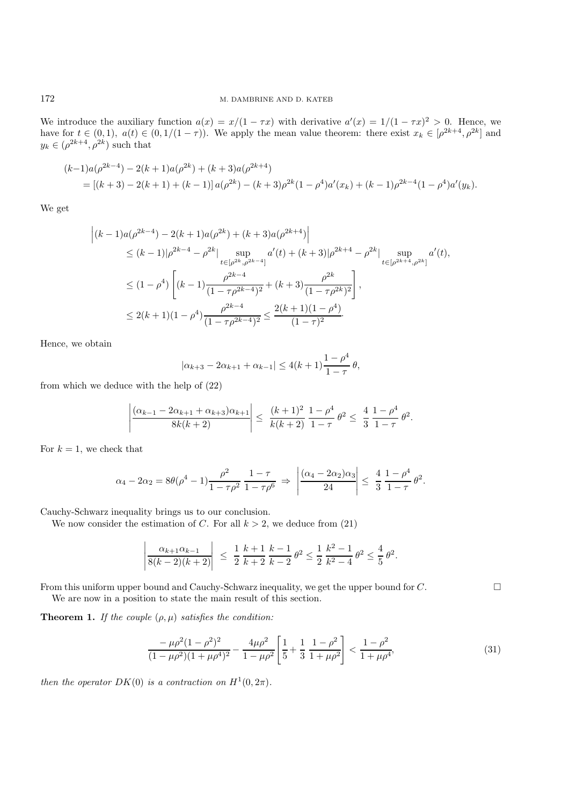We introduce the auxiliary function  $a(x) = x/(1 - \tau x)$  with derivative  $a'(x) = 1/(1 - \tau x)^2 > 0$ . Hence, we have for  $t \in (0,1)$ ,  $a(t) \in (0,1/(1-\tau))$ . We apply the mean value theorem: there exist  $x_k \in [\rho^{2k+4}, \rho^{2k}]$  and  $y_k \in (\rho^{2k+4}, \rho^{2k})$  such that

$$
(k-1)a(\rho^{2k-4}) - 2(k+1)a(\rho^{2k}) + (k+3)a(\rho^{2k+4})
$$
  
= 
$$
[(k+3) - 2(k+1) + (k-1)]a(\rho^{2k}) - (k+3)\rho^{2k}(1-\rho^{4})a'(x_k) + (k-1)\rho^{2k-4}(1-\rho^{4})a'(y_k).
$$

We get

$$
\begin{split} \left| (k-1)a(\rho^{2k-4}) - 2(k+1)a(\rho^{2k}) + (k+3)a(\rho^{2k+4}) \right| \\ &\le (k-1)|\rho^{2k-4} - \rho^{2k}| \sup_{t \in [\rho^{2k}, \rho^{2k-4}]} a'(t) + (k+3)|\rho^{2k+4} - \rho^{2k}| \sup_{t \in [\rho^{2k+4}, \rho^{2k}]} a'(t), \\ &\le (1-\rho^4) \left[ (k-1)\frac{\rho^{2k-4}}{(1-\tau\rho^{2k-4})^2} + (k+3)\frac{\rho^{2k}}{(1-\tau\rho^{2k})^2} \right], \\ &\le 2(k+1)(1-\rho^4) \frac{\rho^{2k-4}}{(1-\tau\rho^{2k-4})^2} \le \frac{2(k+1)(1-\rho^4)}{(1-\tau)^2}. \end{split}
$$

Hence, we obtain

$$
|\alpha_{k+3} - 2\alpha_{k+1} + \alpha_{k-1}| \leq 4(k+1)\frac{1-\rho^4}{1-\tau} \theta,
$$

from which we deduce with the help of (22)

$$
\left|\frac{(\alpha_{k-1}-2\alpha_{k+1}+\alpha_{k+3})\alpha_{k+1}}{8k(k+2)}\right| \leq \left|\frac{(k+1)^2}{k(k+2)}\frac{1-\rho^4}{1-\tau}\theta^2\right| \leq \frac{4}{3}\frac{1-\rho^4}{1-\tau}\theta^2.
$$

For  $k = 1$ , we check that

$$
\alpha_4 - 2\alpha_2 = 8\theta(\rho^4 - 1)\frac{\rho^2}{1 - \tau \rho^2} \frac{1 - \tau}{1 - \tau \rho^6} \Rightarrow \left| \frac{(\alpha_4 - 2\alpha_2)\alpha_3}{24} \right| \le \frac{4}{3} \frac{1 - \rho^4}{1 - \tau} \theta^2.
$$

Cauchy-Schwarz inequality brings us to our conclusion.

We now consider the estimation of C. For all  $k > 2$ , we deduce from (21)

$$
\left|\frac{\alpha_{k+1}\alpha_{k-1}}{8(k-2)(k+2)}\right| \ \leq \ \frac{1}{2}\,\frac{k+1}{k+2}\,\frac{k-1}{k-2}\,\theta^2 \leq \frac{1}{2}\,\frac{k^2-1}{k^2-4}\,\theta^2 \leq \frac{4}{5}\,\theta^2.
$$

From this uniform upper bound and Cauchy-Schwarz inequality, we get the upper bound for  $C$ .

We are now in a position to state the main result of this section.

**Theorem 1.** *If the couple*  $(\rho, \mu)$  *satisfies the condition:* 

$$
\frac{-\mu\rho^2(1-\rho^2)^2}{(1-\mu\rho^2)(1+\mu\rho^4)^2} - \frac{4\mu\rho^2}{1-\mu\rho^2} \left[ \frac{1}{5} + \frac{1}{3} \frac{1-\rho^2}{1+\mu\rho^2} \right] < \frac{1-\rho^2}{1+\mu\rho^4},\tag{31}
$$

*then the operator*  $DK(0)$  *is a contraction on*  $H^1(0, 2\pi)$ *.*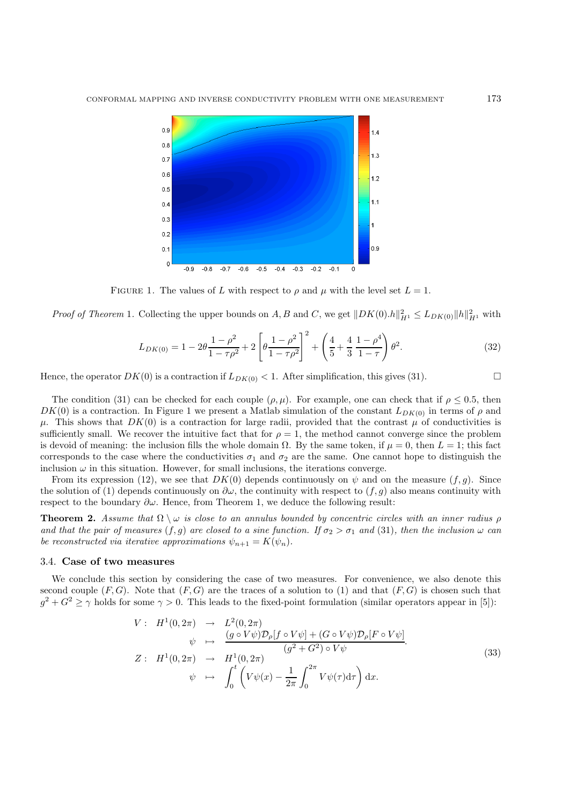

FIGURE 1. The values of L with respect to  $\rho$  and  $\mu$  with the level set  $L = 1$ .

*Proof of Theorem* 1. Collecting the upper bounds on A, B and C, we get  $||DK(0).h||_{H^1}^2 \le L_{DK(0)} ||h||_{H^1}^2$  with

$$
L_{DK(0)} = 1 - 2\theta \frac{1 - \rho^2}{1 - \tau \rho^2} + 2 \left[ \theta \frac{1 - \rho^2}{1 - \tau \rho^2} \right]^2 + \left( \frac{4}{5} + \frac{4}{3} \frac{1 - \rho^4}{1 - \tau} \right) \theta^2.
$$
 (32)

Hence, the operator  $DK(0)$  is a contraction if  $L_{DK(0)} < 1$ . After simplification, this gives (31).

The condition (31) can be checked for each couple  $(\rho, \mu)$ . For example, one can check that if  $\rho \leq 0.5$ , then  $DK(0)$  is a contraction. In Figure 1 we present a Matlab simulation of the constant  $L_{DK(0)}$  in terms of  $\rho$  and  $\mu$ . This shows that  $DK(0)$  is a contraction for large radii, provided that the contrast  $\mu$  of conductivities is sufficiently small. We recover the intuitive fact that for  $\rho = 1$ , the method cannot converge since the problem is devoid of meaning: the inclusion fills the whole domain  $\Omega$ . By the same token, if  $\mu = 0$ , then  $L = 1$ ; this fact corresponds to the case where the conductivities  $\sigma_1$  and  $\sigma_2$  are the same. One cannot hope to distinguish the inclusion  $\omega$  in this situation. However, for small inclusions, the iterations converge.

From its expression (12), we see that  $DK(0)$  depends continuously on  $\psi$  and on the measure  $(f, g)$ . Since the solution of (1) depends continuously on  $\partial\omega$ , the continuity with respect to  $(f, g)$  also means continuity with respect to the boundary  $\partial \omega$ . Hence, from Theorem 1, we deduce the following result:

**Theorem 2.** *Assume that*  $\Omega \setminus \omega$  *is close to an annulus bounded by concentric circles with an inner radius*  $\rho$ *and that the pair of measures*  $(f, g)$  *are closed to a sine function. If*  $\sigma_2 > \sigma_1$  *and* (31)*, then the inclusion*  $\omega$  *can be reconstructed via iterative approximations*  $\psi_{n+1} = K(\psi_n)$ .

## 3.4. **Case of two measures**

We conclude this section by considering the case of two measures. For convenience, we also denote this second couple  $(F, G)$ . Note that  $(F, G)$  are the traces of a solution to (1) and that  $(F, G)$  is chosen such that  $g^2 + G^2 \ge \gamma$  holds for some  $\gamma > 0$ . This leads to the fixed-point formulation (similar operators appear in [5]):

$$
V: H^{1}(0,2\pi) \rightarrow L^{2}(0,2\pi)
$$
  
\n
$$
\psi \mapsto \frac{(g \circ V\psi)\mathcal{D}_{\rho}[f \circ V\psi] + (G \circ V\psi)\mathcal{D}_{\rho}[F \circ V\psi]}{(g^{2} + G^{2}) \circ V\psi}.
$$
  
\n
$$
Z: H^{1}(0,2\pi) \rightarrow H^{1}(0,2\pi)
$$
  
\n
$$
\psi \mapsto \int_{0}^{t} \left(V\psi(x) - \frac{1}{2\pi} \int_{0}^{2\pi} V\psi(\tau)d\tau\right) dx.
$$
\n(33)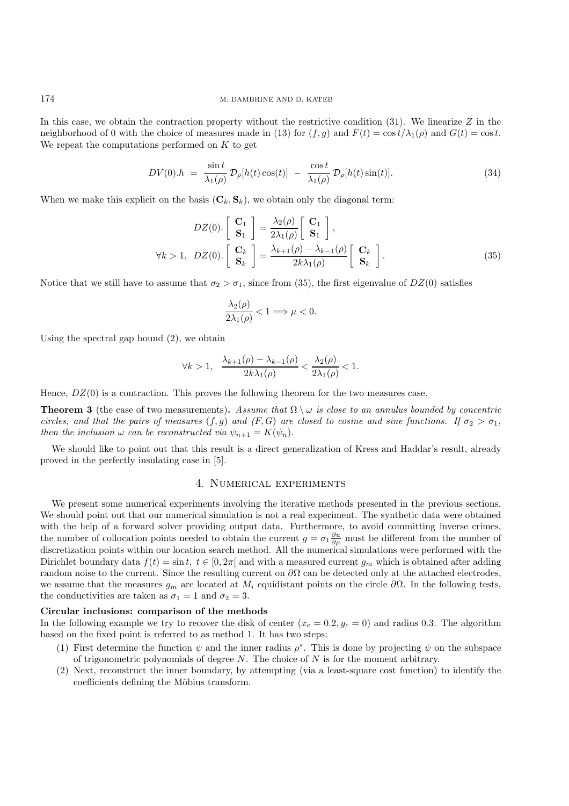In this case, we obtain the contraction property without the restrictive condition  $(31)$ . We linearize Z in the neighborhood of 0 with the choice of measures made in (13) for  $(f,g)$  and  $F(t) = \cos t/\lambda_1(\rho)$  and  $G(t) = \cos t$ . We repeat the computations performed on  $K$  to get

$$
DV(0).h = \frac{\sin t}{\lambda_1(\rho)} \mathcal{D}_{\rho}[h(t)\cos(t)] - \frac{\cos t}{\lambda_1(\rho)} \mathcal{D}_{\rho}[h(t)\sin(t)].
$$
\n(34)

When we make this explicit on the basis  $(C_k, S_k)$ , we obtain only the diagonal term:

$$
DZ(0).\begin{bmatrix} \mathbf{C}_1 \\ \mathbf{S}_1 \end{bmatrix} = \frac{\lambda_2(\rho)}{2\lambda_1(\rho)} \begin{bmatrix} \mathbf{C}_1 \\ \mathbf{S}_1 \end{bmatrix},
$$
  
\n
$$
\forall k > 1, \ DZ(0).\begin{bmatrix} \mathbf{C}_k \\ \mathbf{S}_k \end{bmatrix} = \frac{\lambda_{k+1}(\rho) - \lambda_{k-1}(\rho)}{2k\lambda_1(\rho)} \begin{bmatrix} \mathbf{C}_k \\ \mathbf{S}_k \end{bmatrix}.
$$
 (35)

Notice that we still have to assume that  $\sigma_2 > \sigma_1$ , since from (35), the first eigenvalue of  $DZ(0)$  satisfies

$$
\frac{\lambda_2(\rho)}{2\lambda_1(\rho)} < 1 \Longrightarrow \mu < 0.
$$

Using the spectral gap bound (2), we obtain

$$
\forall k > 1, \quad \frac{\lambda_{k+1}(\rho) - \lambda_{k-1}(\rho)}{2k\lambda_1(\rho)} < \frac{\lambda_2(\rho)}{2\lambda_1(\rho)} < 1.
$$

Hence,  $DZ(0)$  is a contraction. This proves the following theorem for the two measures case.

**Theorem 3** (the case of two measurements). Assume that  $\Omega \setminus \omega$  is close to an annulus bounded by concentric *circles, and that the pairs of measures*  $(f,g)$  *and*  $(F,G)$  *are closed to cosine and sine functions.* If  $\sigma_2 > \sigma_1$ , *then the inclusion*  $\omega$  *can be reconstructed via*  $\psi_{n+1} = K(\psi_n)$ *.* 

We should like to point out that this result is a direct generalization of Kress and Haddar's result, already proved in the perfectly insulating case in [5].

## 4. Numerical experiments

We present some numerical experiments involving the iterative methods presented in the previous sections. We should point out that our numerical simulation is not a real experiment. The synthetic data were obtained with the help of a forward solver providing output data. Furthermore, to avoid committing inverse crimes, the number of collocation points needed to obtain the current  $g = \sigma_1 \frac{\partial u}{\partial \mu}$  must be different from the number of discretization points within our location search method. All the numerical simulations were performed with the Dirichlet boundary data  $f(t) = \sin t$ ,  $t \in [0, 2\pi]$  and with a measured current  $g_m$  which is obtained after adding random noise to the current. Since the resulting current on  $\partial\Omega$  can be detected only at the attached electrodes, we assume that the measures  $g_m$  are located at  $M_i$  equidistant points on the circle  $\partial\Omega$ . In the following tests, the conductivities are taken as  $\sigma_1 = 1$  and  $\sigma_2 = 3$ .

## **Circular inclusions: comparison of the methods**

In the following example we try to recover the disk of center  $(x_c = 0.2, y_c = 0)$  and radius 0.3. The algorithm based on the fixed point is referred to as method 1. It has two steps:

- (1) First determine the function  $\psi$  and the inner radius  $\rho^*$ . This is done by projecting  $\psi$  on the subspace of trigonometric polynomials of degree  $N$ . The choice of  $N$  is for the moment arbitrary.
- (2) Next, reconstruct the inner boundary, by attempting (via a least-square cost function) to identify the coefficients defining the Möbius transform.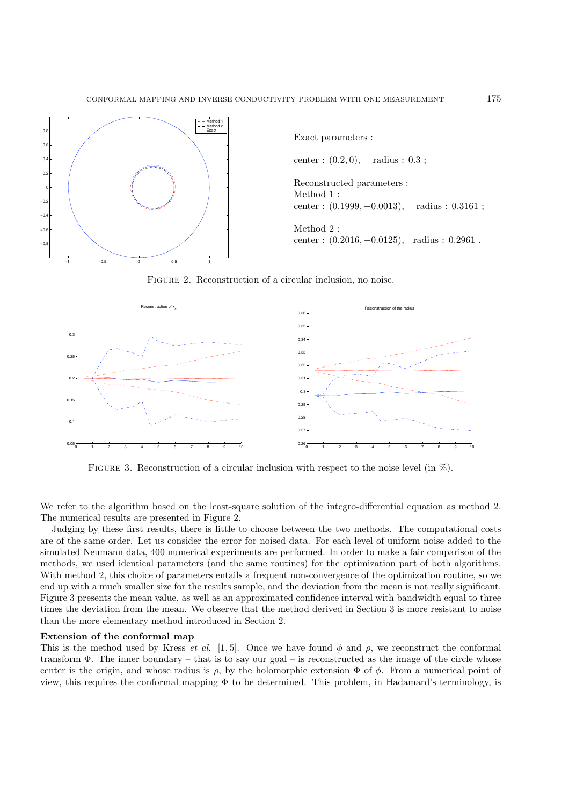

FIGURE 2. Reconstruction of a circular inclusion, no noise.



FIGURE 3. Reconstruction of a circular inclusion with respect to the noise level (in  $\%$ ).

We refer to the algorithm based on the least-square solution of the integro-differential equation as method 2. The numerical results are presented in Figure 2.

Judging by these first results, there is little to choose between the two methods. The computational costs are of the same order. Let us consider the error for noised data. For each level of uniform noise added to the simulated Neumann data, 400 numerical experiments are performed. In order to make a fair comparison of the methods, we used identical parameters (and the same routines) for the optimization part of both algorithms. With method 2, this choice of parameters entails a frequent non-convergence of the optimization routine, so we end up with a much smaller size for the results sample, and the deviation from the mean is not really significant. Figure 3 presents the mean value, as well as an approximated confidence interval with bandwidth equal to three times the deviation from the mean. We observe that the method derived in Section 3 is more resistant to noise than the more elementary method introduced in Section 2.

### **Extension of the conformal map**

This is the method used by Kress *et al.* [1, 5]. Once we have found  $\phi$  and  $\rho$ , we reconstruct the conformal transform Φ. The inner boundary – that is to say our goal – is reconstructed as the image of the circle whose center is the origin, and whose radius is  $\rho$ , by the holomorphic extension  $\Phi$  of  $\phi$ . From a numerical point of view, this requires the conformal mapping  $\Phi$  to be determined. This problem, in Hadamard's terminology, is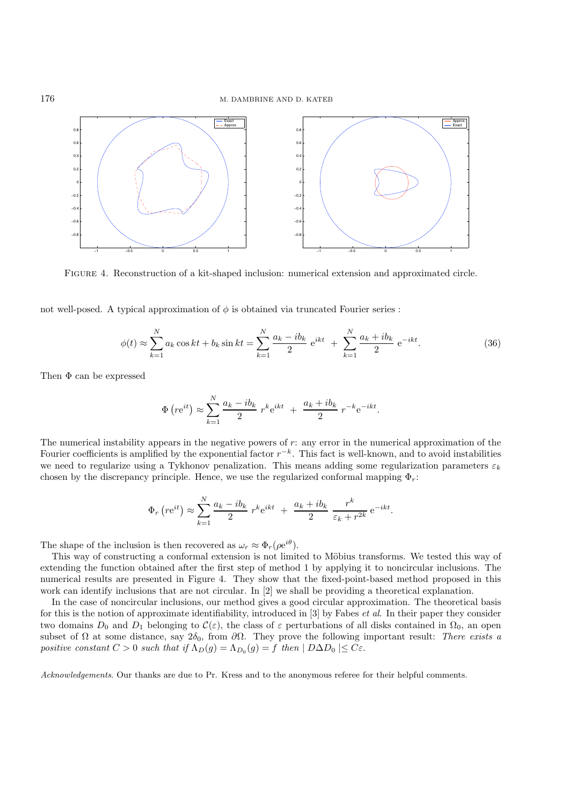

Figure 4. Reconstruction of a kit-shaped inclusion: numerical extension and approximated circle.

not well-posed. A typical approximation of  $\phi$  is obtained via truncated Fourier series :

$$
\phi(t) \approx \sum_{k=1}^{N} a_k \cos kt + b_k \sin kt = \sum_{k=1}^{N} \frac{a_k - ib_k}{2} e^{ikt} + \sum_{k=1}^{N} \frac{a_k + ib_k}{2} e^{-ikt}.
$$
 (36)

Then  $\Phi$  can be expressed

$$
\Phi(r e^{it}) \approx \sum_{k=1}^{N} \frac{a_k - ib_k}{2} r^k e^{ikt} + \frac{a_k + ib_k}{2} r^{-k} e^{-ikt}.
$$

The numerical instability appears in the negative powers of r: any error in the numerical approximation of the Fourier coefficients is amplified by the exponential factor  $r^{-k}$ . This fact is well-known, and to avoid instabilities we need to regularize using a Tykhonov penalization. This means adding some regularization parameters  $\varepsilon_k$ chosen by the discrepancy principle. Hence, we use the regularized conformal mapping  $\Phi_r$ :

$$
\Phi_r\left(r\mathrm{e}^{it}\right) \approx \sum_{k=1}^N \frac{a_k - ib_k}{2} r^k \mathrm{e}^{ikt} + \frac{a_k + ib_k}{2} \frac{r^k}{\varepsilon_k + r^{2k}} \mathrm{e}^{-ikt}.
$$

The shape of the inclusion is then recovered as  $\omega_r \approx \Phi_r(\rho e^{i\theta})$ .

This way of constructing a conformal extension is not limited to Möbius transforms. We tested this way of extending the function obtained after the first step of method 1 by applying it to noncircular inclusions. The numerical results are presented in Figure 4. They show that the fixed-point-based method proposed in this work can identify inclusions that are not circular. In [2] we shall be providing a theoretical explanation.

In the case of noncircular inclusions, our method gives a good circular approximation. The theoretical basis for this is the notion of approximate identifiability, introduced in [3] by Fabes *et al*. In their paper they consider two domains  $D_0$  and  $D_1$  belonging to  $\mathcal{C}(\varepsilon)$ , the class of  $\varepsilon$  perturbations of all disks contained in  $\Omega_0$ , an open subset of  $\Omega$  at some distance, say  $2\delta_0$ , from  $\partial\Omega$ . They prove the following important result: *There exists a positive constant*  $C > 0$  *such that if*  $\Lambda_D(g) = \Lambda_{D_0}(g) = f$  *then*  $|D \Delta D_0| \leq C \varepsilon$ .

*Acknowledgements*. Our thanks are due to Pr. Kress and to the anonymous referee for their helpful comments.